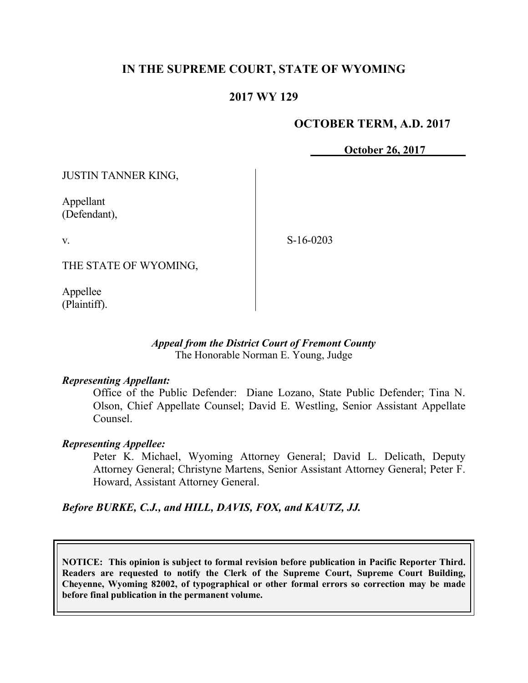# **IN THE SUPREME COURT, STATE OF WYOMING**

# **2017 WY 129**

# **OCTOBER TERM, A.D. 2017**

**October 26, 2017**

JUSTIN TANNER KING,

Appellant (Defendant),

v.

S-16-0203

THE STATE OF WYOMING,

Appellee (Plaintiff).

# *Appeal from the District Court of Fremont County* The Honorable Norman E. Young, Judge

#### *Representing Appellant:*

Office of the Public Defender: Diane Lozano, State Public Defender; Tina N. Olson, Chief Appellate Counsel; David E. Westling, Senior Assistant Appellate Counsel.

#### *Representing Appellee:*

Peter K. Michael, Wyoming Attorney General; David L. Delicath, Deputy Attorney General; Christyne Martens, Senior Assistant Attorney General; Peter F. Howard, Assistant Attorney General.

*Before BURKE, C.J., and HILL, DAVIS, FOX, and KAUTZ, JJ.*

**NOTICE: This opinion is subject to formal revision before publication in Pacific Reporter Third. Readers are requested to notify the Clerk of the Supreme Court, Supreme Court Building, Cheyenne, Wyoming 82002, of typographical or other formal errors so correction may be made before final publication in the permanent volume.**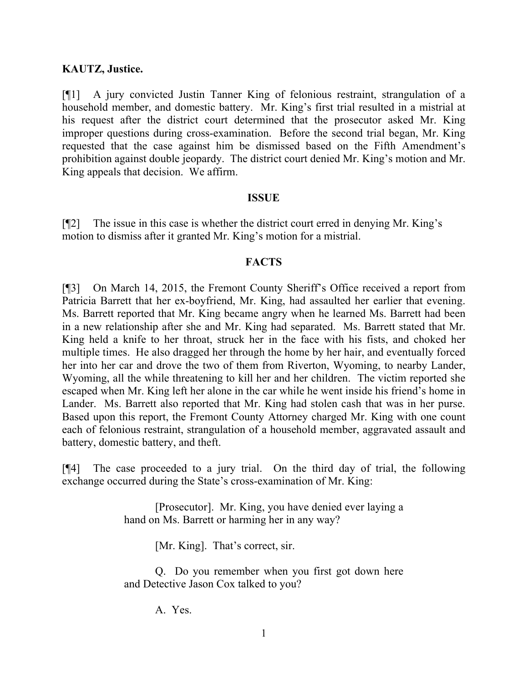# **KAUTZ, Justice.**

[¶1] A jury convicted Justin Tanner King of felonious restraint, strangulation of a household member, and domestic battery. Mr. King's first trial resulted in a mistrial at his request after the district court determined that the prosecutor asked Mr. King improper questions during cross-examination. Before the second trial began, Mr. King requested that the case against him be dismissed based on the Fifth Amendment's prohibition against double jeopardy. The district court denied Mr. King's motion and Mr. King appeals that decision. We affirm.

## **ISSUE**

[¶2] The issue in this case is whether the district court erred in denying Mr. King's motion to dismiss after it granted Mr. King's motion for a mistrial.

## **FACTS**

[¶3] On March 14, 2015, the Fremont County Sheriff's Office received a report from Patricia Barrett that her ex-boyfriend, Mr. King, had assaulted her earlier that evening. Ms. Barrett reported that Mr. King became angry when he learned Ms. Barrett had been in a new relationship after she and Mr. King had separated. Ms. Barrett stated that Mr. King held a knife to her throat, struck her in the face with his fists, and choked her multiple times. He also dragged her through the home by her hair, and eventually forced her into her car and drove the two of them from Riverton, Wyoming, to nearby Lander, Wyoming, all the while threatening to kill her and her children. The victim reported she escaped when Mr. King left her alone in the car while he went inside his friend's home in Lander. Ms. Barrett also reported that Mr. King had stolen cash that was in her purse. Based upon this report, the Fremont County Attorney charged Mr. King with one count each of felonious restraint, strangulation of a household member, aggravated assault and battery, domestic battery, and theft.

[¶4] The case proceeded to a jury trial. On the third day of trial, the following exchange occurred during the State's cross-examination of Mr. King:

> [Prosecutor]. Mr. King, you have denied ever laying a hand on Ms. Barrett or harming her in any way?

> > [Mr. King]. That's correct, sir.

Q. Do you remember when you first got down here and Detective Jason Cox talked to you?

A. Yes.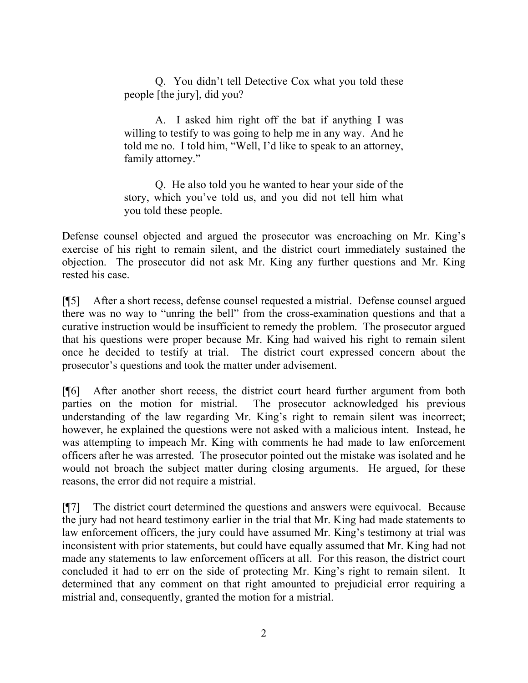Q. You didn't tell Detective Cox what you told these people [the jury], did you?

A. I asked him right off the bat if anything I was willing to testify to was going to help me in any way. And he told me no. I told him, "Well, I'd like to speak to an attorney, family attorney."

Q. He also told you he wanted to hear your side of the story, which you've told us, and you did not tell him what you told these people.

Defense counsel objected and argued the prosecutor was encroaching on Mr. King's exercise of his right to remain silent, and the district court immediately sustained the objection. The prosecutor did not ask Mr. King any further questions and Mr. King rested his case.

[¶5] After a short recess, defense counsel requested a mistrial. Defense counsel argued there was no way to "unring the bell" from the cross-examination questions and that a curative instruction would be insufficient to remedy the problem. The prosecutor argued that his questions were proper because Mr. King had waived his right to remain silent once he decided to testify at trial. The district court expressed concern about the prosecutor's questions and took the matter under advisement.

[¶6] After another short recess, the district court heard further argument from both parties on the motion for mistrial. The prosecutor acknowledged his previous understanding of the law regarding Mr. King's right to remain silent was incorrect; however, he explained the questions were not asked with a malicious intent. Instead, he was attempting to impeach Mr. King with comments he had made to law enforcement officers after he was arrested. The prosecutor pointed out the mistake was isolated and he would not broach the subject matter during closing arguments. He argued, for these reasons, the error did not require a mistrial.

[¶7] The district court determined the questions and answers were equivocal. Because the jury had not heard testimony earlier in the trial that Mr. King had made statements to law enforcement officers, the jury could have assumed Mr. King's testimony at trial was inconsistent with prior statements, but could have equally assumed that Mr. King had not made any statements to law enforcement officers at all. For this reason, the district court concluded it had to err on the side of protecting Mr. King's right to remain silent. It determined that any comment on that right amounted to prejudicial error requiring a mistrial and, consequently, granted the motion for a mistrial.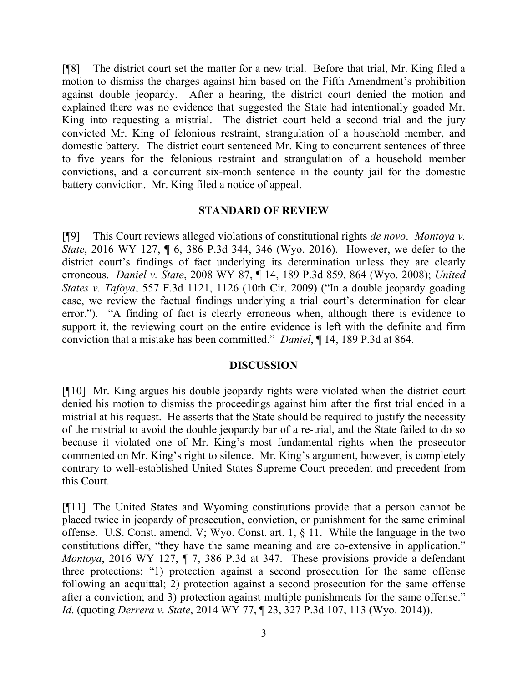[¶8] The district court set the matter for a new trial. Before that trial, Mr. King filed a motion to dismiss the charges against him based on the Fifth Amendment's prohibition against double jeopardy. After a hearing, the district court denied the motion and explained there was no evidence that suggested the State had intentionally goaded Mr. King into requesting a mistrial. The district court held a second trial and the jury convicted Mr. King of felonious restraint, strangulation of a household member, and domestic battery. The district court sentenced Mr. King to concurrent sentences of three to five years for the felonious restraint and strangulation of a household member convictions, and a concurrent six-month sentence in the county jail for the domestic battery conviction. Mr. King filed a notice of appeal.

#### **STANDARD OF REVIEW**

[¶9] This Court reviews alleged violations of constitutional rights *de novo*. *Montoya v. State*, 2016 WY 127, ¶ 6, 386 P.3d 344, 346 (Wyo. 2016). However, we defer to the district court's findings of fact underlying its determination unless they are clearly erroneous. *Daniel v. State*, 2008 WY 87, ¶ 14, 189 P.3d 859, 864 (Wyo. 2008); *United States v. Tafoya*, 557 F.3d 1121, 1126 (10th Cir. 2009) ("In a double jeopardy goading case, we review the factual findings underlying a trial court's determination for clear error."). "A finding of fact is clearly erroneous when, although there is evidence to support it, the reviewing court on the entire evidence is left with the definite and firm conviction that a mistake has been committed." *Daniel*, ¶ 14, 189 P.3d at 864.

## **DISCUSSION**

[¶10] Mr. King argues his double jeopardy rights were violated when the district court denied his motion to dismiss the proceedings against him after the first trial ended in a mistrial at his request. He asserts that the State should be required to justify the necessity of the mistrial to avoid the double jeopardy bar of a re-trial, and the State failed to do so because it violated one of Mr. King's most fundamental rights when the prosecutor commented on Mr. King's right to silence. Mr. King's argument, however, is completely contrary to well-established United States Supreme Court precedent and precedent from this Court.

[¶11] The United States and Wyoming constitutions provide that a person cannot be placed twice in jeopardy of prosecution, conviction, or punishment for the same criminal offense. U.S. Const. amend. V; Wyo. Const. art. 1, § 11. While the language in the two constitutions differ, "they have the same meaning and are co-extensive in application." *Montoya*, 2016 WY 127, ¶ 7, 386 P.3d at 347. These provisions provide a defendant three protections: "1) protection against a second prosecution for the same offense following an acquittal; 2) protection against a second prosecution for the same offense after a conviction; and 3) protection against multiple punishments for the same offense." *Id*. (quoting *Derrera v. State*, 2014 WY 77, ¶ 23, 327 P.3d 107, 113 (Wyo. 2014)).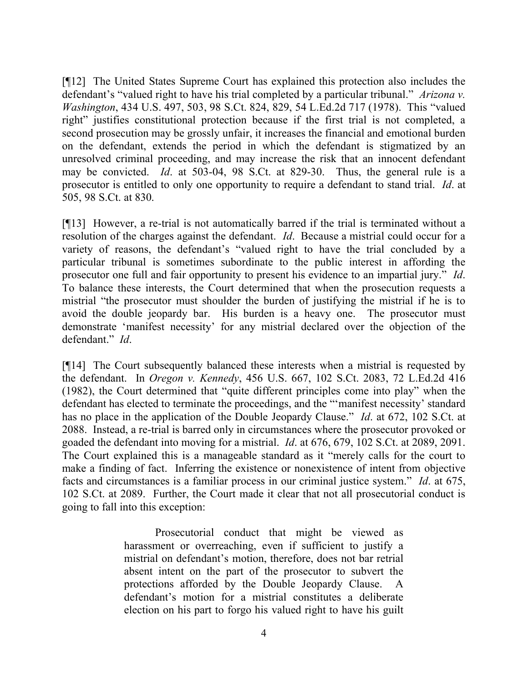[¶12] The United States Supreme Court has explained this protection also includes the defendant's "valued right to have his trial completed by a particular tribunal." *Arizona v. Washington*, 434 U.S. 497, 503, 98 S.Ct. 824, 829, 54 L.Ed.2d 717 (1978). This "valued right" justifies constitutional protection because if the first trial is not completed, a second prosecution may be grossly unfair, it increases the financial and emotional burden on the defendant, extends the period in which the defendant is stigmatized by an unresolved criminal proceeding, and may increase the risk that an innocent defendant may be convicted. *Id*. at 503-04, 98 S.Ct. at 829-30. Thus, the general rule is a prosecutor is entitled to only one opportunity to require a defendant to stand trial. *Id*. at 505, 98 S.Ct. at 830.

[¶13] However, a re-trial is not automatically barred if the trial is terminated without a resolution of the charges against the defendant. *Id*. Because a mistrial could occur for a variety of reasons, the defendant's "valued right to have the trial concluded by a particular tribunal is sometimes subordinate to the public interest in affording the prosecutor one full and fair opportunity to present his evidence to an impartial jury." *Id*. To balance these interests, the Court determined that when the prosecution requests a mistrial "the prosecutor must shoulder the burden of justifying the mistrial if he is to avoid the double jeopardy bar. His burden is a heavy one. The prosecutor must demonstrate 'manifest necessity' for any mistrial declared over the objection of the defendant." *Id*.

[¶14] The Court subsequently balanced these interests when a mistrial is requested by the defendant. In *Oregon v. Kennedy*, 456 U.S. 667, 102 S.Ct. 2083, 72 L.Ed.2d 416 (1982), the Court determined that "quite different principles come into play" when the defendant has elected to terminate the proceedings, and the "'manifest necessity' standard has no place in the application of the Double Jeopardy Clause." *Id*. at 672, 102 S.Ct. at 2088. Instead, a re-trial is barred only in circumstances where the prosecutor provoked or goaded the defendant into moving for a mistrial. *Id*. at 676, 679, 102 S.Ct. at 2089, 2091. The Court explained this is a manageable standard as it "merely calls for the court to make a finding of fact. Inferring the existence or nonexistence of intent from objective facts and circumstances is a familiar process in our criminal justice system." *Id*. at 675, 102 S.Ct. at 2089. Further, the Court made it clear that not all prosecutorial conduct is going to fall into this exception:

> Prosecutorial conduct that might be viewed as harassment or overreaching, even if sufficient to justify a mistrial on defendant's motion, therefore, does not bar retrial absent intent on the part of the prosecutor to subvert the protections afforded by the Double Jeopardy Clause. A defendant's motion for a mistrial constitutes a deliberate election on his part to forgo his valued right to have his guilt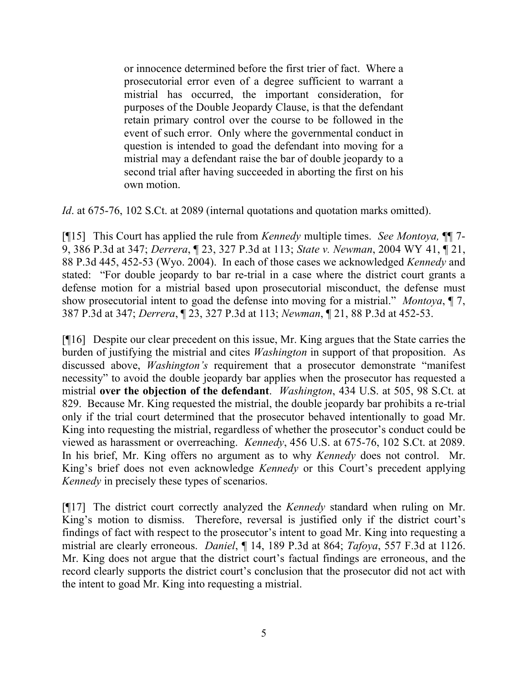or innocence determined before the first trier of fact. Where a prosecutorial error even of a degree sufficient to warrant a mistrial has occurred, the important consideration, for purposes of the Double Jeopardy Clause, is that the defendant retain primary control over the course to be followed in the event of such error. Only where the governmental conduct in question is intended to goad the defendant into moving for a mistrial may a defendant raise the bar of double jeopardy to a second trial after having succeeded in aborting the first on his own motion.

*Id.* at 675-76, 102 S.Ct. at 2089 (internal quotations and quotation marks omitted).

[¶15] This Court has applied the rule from *Kennedy* multiple times. *See Montoya,* ¶¶ 7- 9, 386 P.3d at 347; *Derrera*, ¶ 23, 327 P.3d at 113; *State v. Newman*, 2004 WY 41, ¶ 21, 88 P.3d 445, 452-53 (Wyo. 2004). In each of those cases we acknowledged *Kennedy* and stated: "For double jeopardy to bar re-trial in a case where the district court grants a defense motion for a mistrial based upon prosecutorial misconduct, the defense must show prosecutorial intent to goad the defense into moving for a mistrial." *Montoya*, ¶ 7, 387 P.3d at 347; *Derrera*, ¶ 23, 327 P.3d at 113; *Newman*, ¶ 21, 88 P.3d at 452-53.

[¶16] Despite our clear precedent on this issue, Mr. King argues that the State carries the burden of justifying the mistrial and cites *Washington* in support of that proposition. As discussed above, *Washington's* requirement that a prosecutor demonstrate "manifest necessity" to avoid the double jeopardy bar applies when the prosecutor has requested a mistrial **over the objection of the defendant**. *Washington*, 434 U.S. at 505, 98 S.Ct. at 829. Because Mr. King requested the mistrial, the double jeopardy bar prohibits a re-trial only if the trial court determined that the prosecutor behaved intentionally to goad Mr. King into requesting the mistrial, regardless of whether the prosecutor's conduct could be viewed as harassment or overreaching. *Kennedy*, 456 U.S. at 675-76, 102 S.Ct. at 2089. In his brief, Mr. King offers no argument as to why *Kennedy* does not control. Mr. King's brief does not even acknowledge *Kennedy* or this Court's precedent applying *Kennedy* in precisely these types of scenarios.

[¶17] The district court correctly analyzed the *Kennedy* standard when ruling on Mr. King's motion to dismiss. Therefore, reversal is justified only if the district court's findings of fact with respect to the prosecutor's intent to goad Mr. King into requesting a mistrial are clearly erroneous. *Daniel*, ¶ 14, 189 P.3d at 864; *Tafoya*, 557 F.3d at 1126. Mr. King does not argue that the district court's factual findings are erroneous, and the record clearly supports the district court's conclusion that the prosecutor did not act with the intent to goad Mr. King into requesting a mistrial.